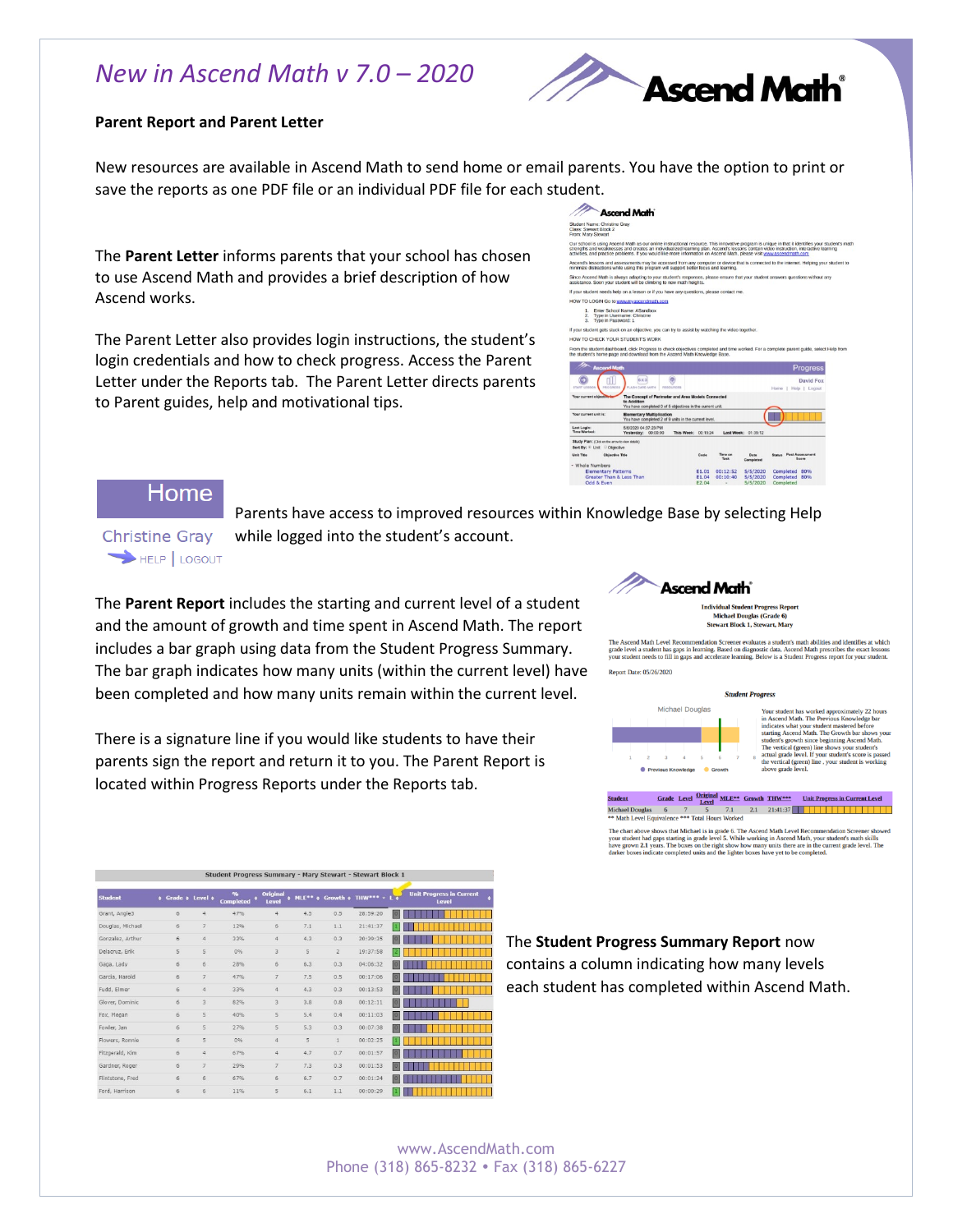## *New in Ascend Math v 7.0 – 2020*



#### **Parent Report and Parent Letter**

New resources are available in Ascend Math to send home or email parents. You have the option to print or save the reports as one PDF file or an individual PDF file for each student.

The **Parent Letter** informs parents that your school has chosen to use Ascend Math and provides a brief description of how Ascend works.

The Parent Letter also provides login instructions, the student's login credentials and how to check progress. Access the Parent Letter under the Reports tab. The Parent Letter directs parents to Parent guides, help and motivational tips.

|                                                                                | <b>Ascend Math</b>                                                                                                             |                     |                       |                 |                     |                                                                                                                                                                                                                                                                                          |
|--------------------------------------------------------------------------------|--------------------------------------------------------------------------------------------------------------------------------|---------------------|-----------------------|-----------------|---------------------|------------------------------------------------------------------------------------------------------------------------------------------------------------------------------------------------------------------------------------------------------------------------------------------|
| Student Name: Christine Grav<br>Class: Stewart Block 2<br>From: Mary Stewart   |                                                                                                                                |                     |                       |                 |                     |                                                                                                                                                                                                                                                                                          |
|                                                                                | activities, and practice problems. If you would like more information on Ascend Math, please visit www.ascendmath.com          |                     |                       |                 |                     | Our school is using Ascend Math as our online instructional resource. This innovative program is unique in that it identifies your student's m<br>strengths and weaknesses and creates an individualized learning plan. Ascend's lessons contain video instruction, interactive learning |
|                                                                                | minimize distractions while using this program will support better focus and learning.                                         |                     |                       |                 |                     | Ascend's lessons and assessments may be accessed from any computer or device that is connected to the internet. Helping your student t                                                                                                                                                   |
|                                                                                | assistance. Soon your student will be climbing to new math heights.                                                            |                     |                       |                 |                     | Since Ascend Math is always adapting to your student's responses, please ensure that your student answers questions without any                                                                                                                                                          |
|                                                                                | If your student needs help on a lesson or if you have any questions, please contact me.                                        |                     |                       |                 |                     |                                                                                                                                                                                                                                                                                          |
|                                                                                | HOW TO LOGIN Go to www.myascendmath.com                                                                                        |                     |                       |                 |                     |                                                                                                                                                                                                                                                                                          |
| 3. Type in Password: 1                                                         | 1. Enter School Name: ASandbox<br>2. Type in Username: Christine                                                               |                     |                       |                 |                     |                                                                                                                                                                                                                                                                                          |
|                                                                                | If your student gets stuck on an objective, you can try to assist by watching the video together.                              |                     |                       |                 |                     |                                                                                                                                                                                                                                                                                          |
| HOW TO CHECK YOUR STUDENT'S WORK                                               |                                                                                                                                |                     |                       |                 |                     |                                                                                                                                                                                                                                                                                          |
| <b>Ascend Math</b>                                                             | the student's home page and download from the Ascend Math Knowledge Base.                                                      |                     |                       |                 |                     | <b>Progress</b>                                                                                                                                                                                                                                                                          |
| START LESSON<br>PROGRESS                                                       | ۵<br>$6 \times 3$<br><b>FLASH CARD MATH</b><br>sesounces                                                                       |                     |                       |                 |                     | David Fox<br>Home   Help   Logout                                                                                                                                                                                                                                                        |
| Your current objective                                                         | The Concept of Perimeter and Area Models Connected<br>to Addition<br>You have completed 0 of 5 objectives in the current unit. |                     |                       |                 |                     |                                                                                                                                                                                                                                                                                          |
| Your current unit is:                                                          | <b>Elementary Multiplication</b><br>You have completed 2 of 9 units in the current level.                                      |                     |                       |                 |                     |                                                                                                                                                                                                                                                                                          |
| Last Login:<br>Time Worked:                                                    | 5/6/2020 04:37:23 PM<br>Yesterday: 00:00:00                                                                                    | This Week: 00:15:24 |                       |                 | Last Week: 01:35:12 |                                                                                                                                                                                                                                                                                          |
| Study Plan: (Click on the arrow to view details)<br>Sort By: * Unit Citiestive |                                                                                                                                |                     |                       |                 |                     |                                                                                                                                                                                                                                                                                          |
| <b>Unit Title</b><br><b>Objective Title</b>                                    |                                                                                                                                |                     | Code                  | Time on<br>Task | Date<br>Completed   | <b>Status</b> Post Assessment<br>Soore                                                                                                                                                                                                                                                   |
| - Whole Numbers                                                                |                                                                                                                                |                     |                       |                 |                     |                                                                                                                                                                                                                                                                                          |
| <b>Elementary Patterns</b>                                                     |                                                                                                                                |                     | E1.01                 | 00:12:52        | 5/5/2020            | Completed 80%                                                                                                                                                                                                                                                                            |
| Greater Than & Less Than<br>Odd & Even                                         |                                                                                                                                |                     | E1.04<br><b>E2.04</b> | 00:10:40        | 5/5/2020            | Completed 80%                                                                                                                                                                                                                                                                            |
|                                                                                |                                                                                                                                |                     |                       | ÷               | 5/5/2020            | Completed                                                                                                                                                                                                                                                                                |

### Home

**Christine Gray** HELP | LOGOUT

while logged into the student's account.

Parents have access to improved resources within Knowledge Base by selecting Help

The **Parent Report** includes the starting and current level of a student and the amount of growth and time spent in Ascend Math. The report includes a bar graph using data from the Student Progress Summary. The bar graph indicates how many units (within the current level) have been completed and how many units remain within the current level.

There is a signature line if you would like students to have their parents sign the report and return it to you. The Parent Report is located within Progress Reports under the Reports tab.



Individual Student Progress Repor<br>Michael Douglas (Grade 6)<br>Stewart Block 1, Stewart, Mary

The Ascend Math Level Recommendation Screener evaluates a student's math abilities and identifies at which<br>grade level a student has gaps in learning. Based on diagnostic data, Ascend Math prescribes the exact lessons<br>your **Report Date: 05/26/2020** 



Your student has worked approximately 22 hours<br>in Ascend Math. The Previous Knowledge bar<br>indicates what your student mastered before in Ascend Manh. The Previous Konowlege bar<br>indicates what your student mastered before indicates what your student mastered before<br>starting Ascend Math. The Growth bar shows your<br>students growth since beginning Ascend Math

The chart above shows that Michael is in grade 6. The Ascend Math Level Recommendation Screen your student had gaps starting in grade level 5. While working in Ascend Math, your student's math have grown  $2.1$  years. The

| Student Progress Summary - Mary Stewart - Stewart Block 1 |                      |                |                                         |                               |              |                |          |                                          |
|-----------------------------------------------------------|----------------------|----------------|-----------------------------------------|-------------------------------|--------------|----------------|----------|------------------------------------------|
| <b>Student</b>                                            | Grade ¢ Level ¢<br>٠ |                | q <sub>0</sub><br>٠<br><b>Completed</b> | <b>Original</b><br>٠<br>Level | MLE** o      | Growth of      | THW*** - | <b>Unit Progress in Current</b><br>Level |
| Grant, Angle3                                             | 6                    | $\overline{4}$ | 47%                                     | $\frac{4}{3}$                 | 4.5          | 0.5            | 28:59:20 | o                                        |
| Douglas, Michael                                          | 6                    | $\overline{7}$ | 12%                                     | 6                             | 7.1          | 1.1            | 21:41:37 |                                          |
| Gonzalez, Arthur                                          | $\ddot{\sigma}$      | $\ddot{4}$     | 33%                                     | $\ddot{4}$                    | 4.3          | 0.3            | 20:39:35 |                                          |
| Delacruz, Erik                                            | 5                    | 5              | 0%                                      | $\overline{3}$                | $\mathsf{S}$ | $\overline{2}$ | 19:37:58 | Ы                                        |
| Gaga, Lady                                                | 6                    | 6              | 28%                                     | 6                             | 6.3          | 0.3            | 04:06:32 |                                          |
| Garcia, Harold                                            | 6                    | $\overline{7}$ | 47%                                     | $\overline{7}$                | 7.5          | 0.5            | 00:17:06 |                                          |
| Fudd, Elmer                                               | 6                    | $\overline{4}$ | 33%                                     | $\ddot{4}$                    | 4.3          | 0.3            | 00:13:53 | o                                        |
| Glover, Dominic                                           | 6                    | $\overline{3}$ | 82%                                     | 3                             | 3.8          | 0.8            | 00:12:11 |                                          |
| Fox, Megan                                                | 6                    | 5              | 40%                                     | 5                             | 5.4          | 0.4            | 00:11:03 |                                          |
| Fowler, Jan                                               | 6                    | 5              | 27%                                     | 5                             | 5.3          | 0.3            | 00:07:38 |                                          |
| Flowers, Ronnie                                           | 6                    | 5              | 0%                                      | $\frac{4}{3}$                 | 5            | 1              | 00:02:25 | ы                                        |
| Fitzgerald, Kim                                           | 6                    | $\frac{1}{2}$  | 67%                                     | $\overline{4}$                | 4.7          | 0.7            | 00:01:57 |                                          |
| Gardner, Roger                                            | 6                    | $\overline{7}$ | 29%                                     | $\overline{7}$                | 7.3          | 0.3            | 00:01:53 |                                          |
| Flintstone, Fred                                          | 6                    | 6              | 67%                                     | 6                             | 6.7          | 0.7            | 00:01:24 |                                          |
| Ford Harrison                                             | $\mathcal{L}$        | $\kappa$       | 1196                                    | $\overline{\phantom{a}}$      | 61           | 1.1            | 00.00.29 |                                          |

## The **Student Progress Summary Report** now contains a column indicating how many levels each student has completed within Ascend Math.

www.AscendMath.com Phone (318) 865-8232 • Fax (318) 865-6227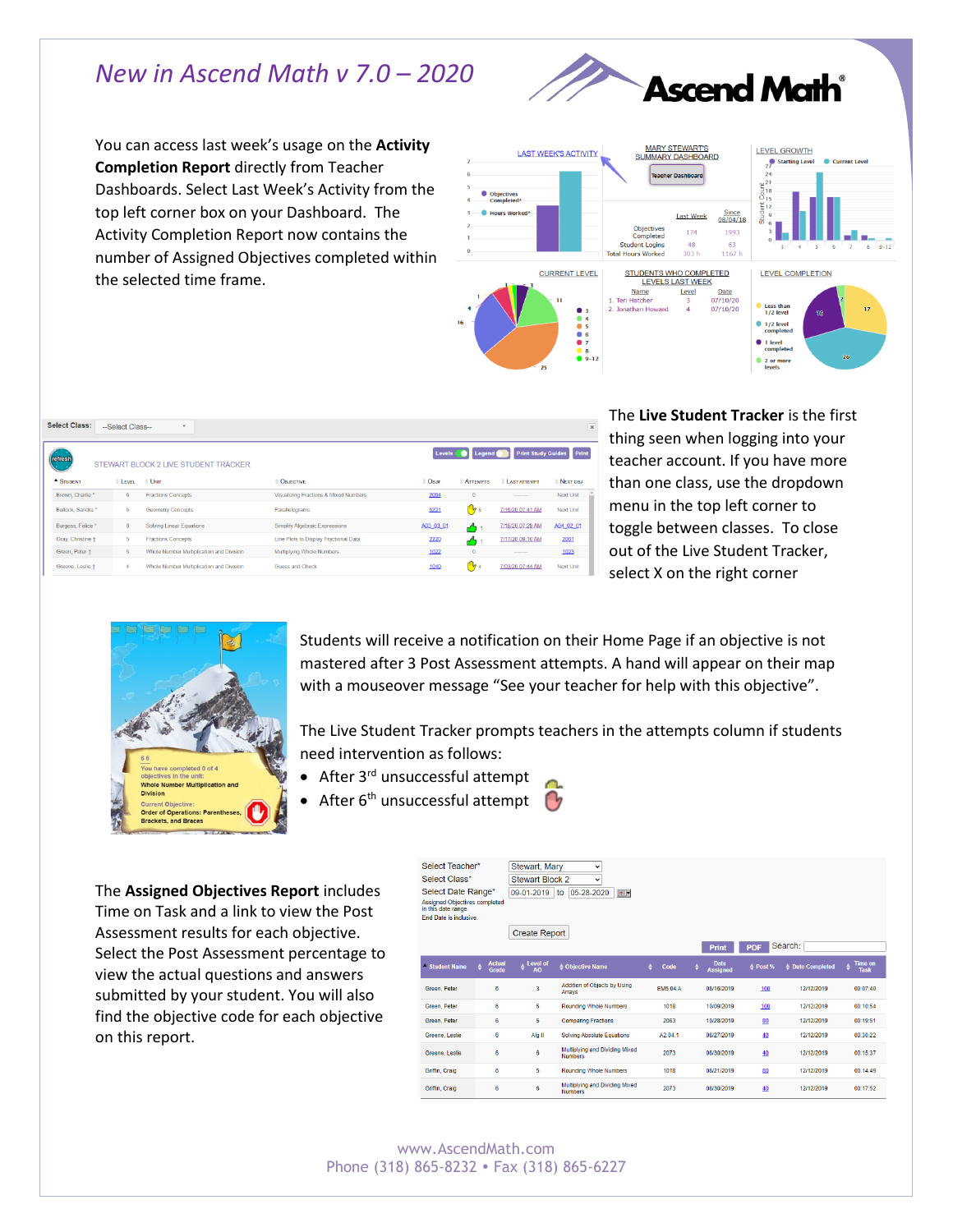## *New in Ascend Math v 7.0 – 2020*



You can access last week's usage on the **Activity Completion Report** directly from Teacher Dashboards. Select Last Week's Activity from the top left corner box on your Dashboard. The Activity Completion Report now contains the number of Assigned Objectives completed within the selected time frame.



|         | <b>Select Class:</b>         | --Select Class-- | $\;$                                     |                                       |           |                                          |                     | $\overline{\varkappa}$          |
|---------|------------------------------|------------------|------------------------------------------|---------------------------------------|-----------|------------------------------------------|---------------------|---------------------------------|
| refresh |                              |                  | STEWART BLOCK 2 LIVE STUDENT TRACKER     |                                       |           | Levels <b>Container Legend Container</b> |                     | <b>Print Study Guides</b> Print |
|         | $-$ STUDENT                  | <b>ELEVEL</b>    | $\oplus$ UNIT                            | OBJECTIVE                             | Овля      | <b>ATTEMPTS</b>                          | <b>LAST ATTEMPT</b> | $DEF NEX$                       |
|         | Brown, Charlie*              | 6                | <b>Fractions Concepts</b>                | Visualizing Fractions & Mixed Numbers | 2064      | $\mathbf{0}$                             | --------            | <b>Next Unit</b>                |
|         | Bullock, Sandra *            | 5                | <b>Geometry Concepts</b>                 | Parallelograms                        | 5221      | $\frac{m}{2}$ 5                          | 7/15/20 07:41 AM    | <b>Next Unit</b>                |
|         | Burgess, Felice <sup>x</sup> | 8                | Solving Linear Equations                 | Simplify Algebraic Expressions        | A03_03_01 | $\overline{a}$                           | 7/15/20 07:29 AM    | A04 02 01                       |
|         | Gray, Christine +            | 5                | <b>Fractions Concepts</b>                | Line Plots to Display Fractional Data | 2220      | $\overline{a}$                           | 7/17/20 09:10 AM    | 2061                            |
|         | Green, Peter +               | 5                | Whole Number Multiplication and Division | Multiplying Whole Numbers             | 1022      | $\mathbf{0}$                             | --------            | 1023                            |
|         | Greene, Leslie +             | 4                | Whole Number Multiplication and Division | Guess and Check                       | 1040      | <b>My</b> 4                              | 7/03/20 07:44 AM    | <b>Next Unit</b>                |

The **Live Student Tracker** is the first thing seen when logging into your teacher account. If you have more than one class, use the dropdown menu in the top left corner to toggle between classes. To close out of the Live Student Tracker, select X on the right corner



Students will receive a notification on their Home Page if an objective is not mastered after 3 Post Assessment attempts. A hand will appear on their map with a mouseover message "See your teacher for help with this objective".

The Live Student Tracker prompts teachers in the attempts column if students need intervention as follows:

- After 3<sup>rd</sup> unsuccessful attempt
	- After 6<sup>th</sup> unsuccessful attempt

Select Teacher\* Stewart Mary

The **Assigned Objectives Report** includes Time on Task and a link to view the Post Assessment results for each objective. Select the Post Assessment percentage to view the actual questions and answers submitted by your student. You will also find the objective code for each objective on this report.

| Select Class*                                                                  |                        | <b>Stewart Block 2</b>         | $\checkmark$                                     |           |                                     |            |                  |                                             |
|--------------------------------------------------------------------------------|------------------------|--------------------------------|--------------------------------------------------|-----------|-------------------------------------|------------|------------------|---------------------------------------------|
| Select Date Range*                                                             |                        | 09-01-2019                     | 05-28-2020<br>$\circ$<br>to                      |           |                                     |            |                  |                                             |
| Assigned Objectives completed<br>in this date range.<br>End Date is inclusive. |                        | <b>Create Report</b>           |                                                  |           |                                     |            |                  |                                             |
|                                                                                |                        |                                |                                                  |           | <b>Print</b>                        | <b>PDF</b> | Search:          |                                             |
| - Student Name                                                                 | <b>Actual</b><br>Grade | $e^{\pm$ Level of<br><b>AO</b> | ≜ Objective Name                                 | ≜<br>Code | <b>Date</b><br>٠<br><b>Assigned</b> | $e$ Post % | ≜ Date Completed | <b>Time on</b><br>$\ddot{ }$<br><b>Task</b> |
| Green, Peter                                                                   | 6                      | 3                              | Addition of Objects by Using<br>Arrays           | EM5.04.A  | 08/16/2019                          | 100        | 12/12/2019       | 00:07:40                                    |
| Green, Peter                                                                   | 6                      | 5                              | <b>Rounding Whole Numbers</b>                    | 1018      | 10/09/2019                          | 100        | 12/12/2019       | 00:10:54                                    |
| Green, Peter                                                                   | 6                      | 5                              | <b>Comparing Fractions</b>                       | 2063      | 10/28/2019                          | 80         | 12/12/2019       | 00:19:51                                    |
| Greene, Leslie                                                                 | 6                      | Alg II                         | <b>Solving Absolute Equations</b>                | A2.04.1   | 08/27/2019                          | 40         | 12/12/2019       | 00:30:22                                    |
| Greene, Leslie                                                                 | 6                      | 6                              | Multiplying and Dividing Mixed<br><b>Numbers</b> | 2073      | 08/30/2019                          | 40         | 12/12/2019       | 00:15:37                                    |
| Griffin, Craig                                                                 | 6                      | 5                              | <b>Rounding Whole Numbers</b>                    | 1018      | 08/21/2019                          | 80         | 12/12/2019       | 00:14:49                                    |
| Griffin, Craig                                                                 | 6                      | 6                              | Multiplying and Dividing Mixed<br><b>Numbers</b> | 2073      | 08/30/2019                          | 40         | 12/12/2019       | 00:17:52                                    |